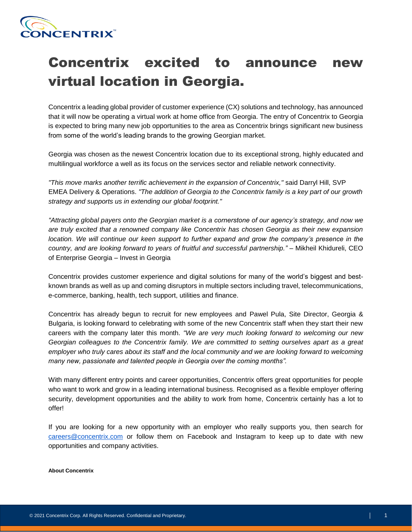

## Concentrix excited to announce new virtual location in Georgia.

Concentrix a leading global provider of customer experience (CX) solutions and technology, has announced that it will now be operating a virtual work at home office from Georgia. The entry of Concentrix to Georgia is expected to bring many new job opportunities to the area as Concentrix brings significant new business from some of the world's leading brands to the growing Georgian market.

Georgia was chosen as the newest Concentrix location due to its exceptional strong, highly educated and multilingual workforce a well as its focus on the services sector and reliable network connectivity.

*"This move marks another terrific achievement in the expansion of Concentrix,"* said Darryl Hill, SVP EMEA Delivery & Operations. *"The addition of Georgia to the Concentrix family is a key part of our growth strategy and supports us in extending our global footprint."*

*"Attracting global payers onto the Georgian market is a cornerstone of our agency's strategy, and now we are truly excited that a renowned company like Concentrix has chosen Georgia as their new expansion location. We will continue our keen support to further expand and grow the company's presence in the country, and are looking forward to years of fruitful and successful partnership." –* Mikheil Khidureli, CEO of Enterprise Georgia – Invest in Georgia

Concentrix provides customer experience and digital solutions for many of the world's biggest and bestknown brands as well as up and coming disruptors in multiple sectors including travel, telecommunications, e-commerce, banking, health, tech support, utilities and finance.

Concentrix has already begun to recruit for new employees and Pawel Pula, Site Director, Georgia & Bulgaria, is looking forward to celebrating with some of the new Concentrix staff when they start their new careers with the company later this month. *"We are very much looking forward to welcoming our new Georgian colleagues to the Concentrix family. We are committed to setting ourselves apart as a great employer who truly cares about its staff and the local community and we are looking forward to welcoming many new, passionate and talented people in Georgia over the coming months".*

With many different entry points and career opportunities, Concentrix offers great opportunities for people who want to work and grow in a leading international business. Recognised as a flexible employer offering security, development opportunities and the ability to work from home, Concentrix certainly has a lot to offer!

If you are looking for a new opportunity with an employer who really supports you, then search for [careers@concentrix.com](mailto:careers@concentrix.com) or follow them on Facebook and Instagram to keep up to date with new opportunities and company activities.

## **About Concentrix**